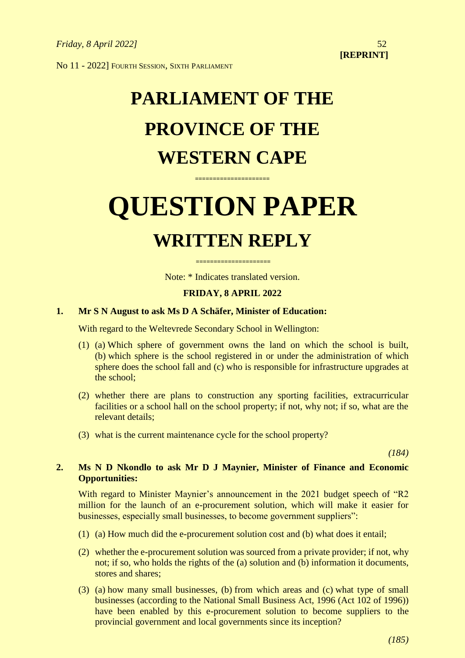No 11 - 2022] FOURTH SESSION, SIXTH PARLIAMENT

# **PARLIAMENT OF THE PROVINCE OF THE WESTERN CAPE**

# **QUESTION PAPER WRITTEN REPLY**

**=====================**

**=====================** Note: \* Indicates translated version.

# **FRIDAY, 8 APRIL 2022**

# **1. Mr S N August to ask Ms D A Schäfer, Minister of Education:**

With regard to the Weltevrede Secondary School in Wellington:

- (1) (a) Which sphere of government owns the land on which the school is built, (b) which sphere is the school registered in or under the administration of which sphere does the school fall and (c) who is responsible for infrastructure upgrades at the school;
- (2) whether there are plans to construction any sporting facilities, extracurricular facilities or a school hall on the school property; if not, why not; if so, what are the relevant details;
- (3) what is the current maintenance cycle for the school property?

*(184)*

# **2. Ms N D Nkondlo to ask Mr D J Maynier, Minister of Finance and Economic Opportunities:**

With regard to Minister Maynier's announcement in the 2021 budget speech of "R2 million for the launch of an e-procurement solution, which will make it easier for businesses, especially small businesses, to become government suppliers":

- (1) (a) How much did the e-procurement solution cost and (b) what does it entail;
- (2) whether the e-procurement solution was sourced from a private provider; if not, why not; if so, who holds the rights of the (a) solution and (b) information it documents, stores and shares;
- (3) (a) how many small businesses, (b) from which areas and (c) what type of small businesses (according to the National Small Business Act, 1996 (Act 102 of 1996)) have been enabled by this e-procurement solution to become suppliers to the provincial government and local governments since its inception?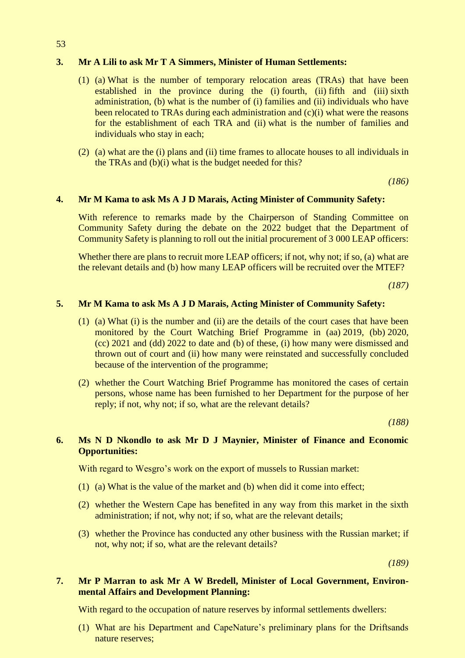## **3. Mr A Lili to ask Mr T A Simmers, Minister of Human Settlements:**

- (1) (a) What is the number of temporary relocation areas (TRAs) that have been established in the province during the (i) fourth, (ii) fifth and (iii) sixth administration, (b) what is the number of (i) families and (ii) individuals who have been relocated to TRAs during each administration and (c)(i) what were the reasons for the establishment of each TRA and (ii) what is the number of families and individuals who stay in each;
- (2) (a) what are the (i) plans and (ii) time frames to allocate houses to all individuals in the TRAs and (b)(i) what is the budget needed for this?

*(186)*

#### **4. Mr M Kama to ask Ms A J D Marais, Acting Minister of Community Safety:**

With reference to remarks made by the Chairperson of Standing Committee on Community Safety during the debate on the 2022 budget that the Department of Community Safety is planning to roll out the initial procurement of 3 000 LEAP officers:

Whether there are plans to recruit more LEAP officers; if not, why not; if so, (a) what are the relevant details and (b) how many LEAP officers will be recruited over the MTEF?

*(187)*

# **5. Mr M Kama to ask Ms A J D Marais, Acting Minister of Community Safety:**

- (1) (a) What (i) is the number and (ii) are the details of the court cases that have been monitored by the Court Watching Brief Programme in (aa) 2019, (bb) 2020, (cc) 2021 and (dd) 2022 to date and (b) of these, (i) how many were dismissed and thrown out of court and (ii) how many were reinstated and successfully concluded because of the intervention of the programme;
- (2) whether the Court Watching Brief Programme has monitored the cases of certain persons, whose name has been furnished to her Department for the purpose of her reply; if not, why not; if so, what are the relevant details?

*(188)*

# **6. Ms N D Nkondlo to ask Mr D J Maynier, Minister of Finance and Economic Opportunities:**

With regard to Wesgro's work on the export of mussels to Russian market:

- (1) (a) What is the value of the market and (b) when did it come into effect;
- (2) whether the Western Cape has benefited in any way from this market in the sixth administration; if not, why not; if so, what are the relevant details;
- (3) whether the Province has conducted any other business with the Russian market; if not, why not; if so, what are the relevant details?

*(189)*

## **7. Mr P Marran to ask Mr A W Bredell, Minister of Local Government, Environmental Affairs and Development Planning:**

With regard to the occupation of nature reserves by informal settlements dwellers:

(1) What are his Department and CapeNature's preliminary plans for the Driftsands nature reserves;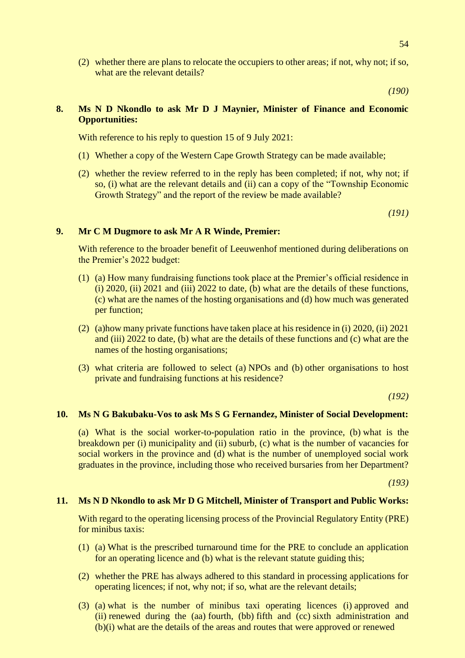(2) whether there are plans to relocate the occupiers to other areas; if not, why not; if so, what are the relevant details?

*(190)*

# **8. Ms N D Nkondlo to ask Mr D J Maynier, Minister of Finance and Economic Opportunities:**

With reference to his reply to question 15 of 9 July 2021:

- (1) Whether a copy of the Western Cape Growth Strategy can be made available;
- (2) whether the review referred to in the reply has been completed; if not, why not; if so, (i) what are the relevant details and (ii) can a copy of the "Township Economic Growth Strategy" and the report of the review be made available?

*(191)*

#### **9. Mr C M Dugmore to ask Mr A R Winde, Premier:**

With reference to the broader benefit of Leeuwenhof mentioned during deliberations on the Premier's 2022 budget:

- (1) (a) How many fundraising functions took place at the Premier's official residence in (i) 2020, (ii) 2021 and (iii) 2022 to date, (b) what are the details of these functions, (c) what are the names of the hosting organisations and (d) how much was generated per function;
- (2) (a)how many private functions have taken place at his residence in (i) 2020, (ii) 2021 and (iii) 2022 to date, (b) what are the details of these functions and (c) what are the names of the hosting organisations;
- (3) what criteria are followed to select (a) NPOs and (b) other organisations to host private and fundraising functions at his residence?

*(192)*

#### **10. Ms N G Bakubaku-Vos to ask Ms S G Fernandez, Minister of Social Development:**

(a) What is the social worker-to-population ratio in the province, (b) what is the breakdown per (i) municipality and (ii) suburb, (c) what is the number of vacancies for social workers in the province and (d) what is the number of unemployed social work graduates in the province, including those who received bursaries from her Department?

*(193)*

#### **11. Ms N D Nkondlo to ask Mr D G Mitchell, Minister of Transport and Public Works:**

With regard to the operating licensing process of the Provincial Regulatory Entity (PRE) for minibus taxis:

- (1) (a) What is the prescribed turnaround time for the PRE to conclude an application for an operating licence and (b) what is the relevant statute guiding this;
- (2) whether the PRE has always adhered to this standard in processing applications for operating licences; if not, why not; if so, what are the relevant details;
- (3) (a) what is the number of minibus taxi operating licences (i) approved and (ii) renewed during the (aa) fourth, (bb) fifth and (cc) sixth administration and (b)(i) what are the details of the areas and routes that were approved or renewed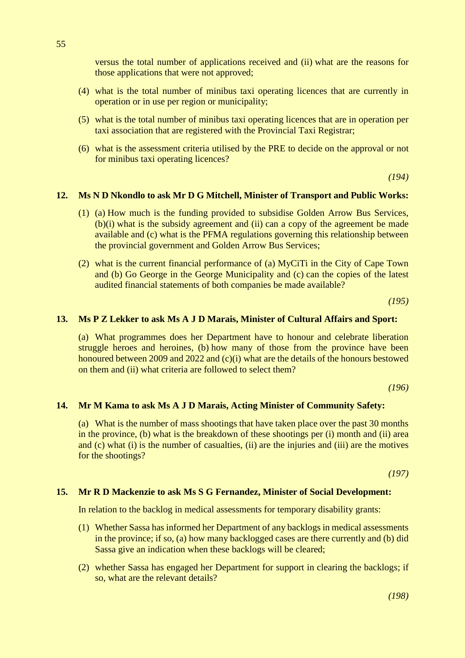versus the total number of applications received and (ii) what are the reasons for those applications that were not approved;

- (4) what is the total number of minibus taxi operating licences that are currently in operation or in use per region or municipality;
- (5) what is the total number of minibus taxi operating licences that are in operation per taxi association that are registered with the Provincial Taxi Registrar;
- (6) what is the assessment criteria utilised by the PRE to decide on the approval or not for minibus taxi operating licences?

*(194)*

#### **12. Ms N D Nkondlo to ask Mr D G Mitchell, Minister of Transport and Public Works:**

- (1) (a) How much is the funding provided to subsidise Golden Arrow Bus Services, (b)(i) what is the subsidy agreement and (ii) can a copy of the agreement be made available and (c) what is the PFMA regulations governing this relationship between the provincial government and Golden Arrow Bus Services;
- (2) what is the current financial performance of (a) MyCiTi in the City of Cape Town and (b) Go George in the George Municipality and (c) can the copies of the latest audited financial statements of both companies be made available?

*(195)*

#### **13. Ms P Z Lekker to ask Ms A J D Marais, Minister of Cultural Affairs and Sport:**

(a) What programmes does her Department have to honour and celebrate liberation struggle heroes and heroines, (b) how many of those from the province have been honoured between 2009 and 2022 and (c)(i) what are the details of the honours bestowed on them and (ii) what criteria are followed to select them?

*(196)*

#### **14. Mr M Kama to ask Ms A J D Marais, Acting Minister of Community Safety:**

(a) What is the number of mass shootings that have taken place over the past 30 months in the province, (b) what is the breakdown of these shootings per (i) month and (ii) area and (c) what (i) is the number of casualties, (ii) are the injuries and (iii) are the motives for the shootings?

*(197)*

#### **15. Mr R D Mackenzie to ask Ms S G Fernandez, Minister of Social Development:**

In relation to the backlog in medical assessments for temporary disability grants:

- (1) Whether Sassa has informed her Department of any backlogs in medical assessments in the province; if so, (a) how many backlogged cases are there currently and (b) did Sassa give an indication when these backlogs will be cleared;
- (2) whether Sassa has engaged her Department for support in clearing the backlogs; if so, what are the relevant details?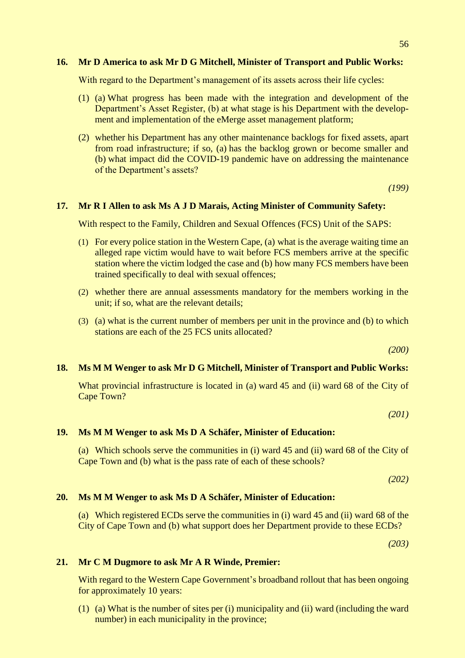#### **16. Mr D America to ask Mr D G Mitchell, Minister of Transport and Public Works:**

With regard to the Department's management of its assets across their life cycles:

- (1) (a) What progress has been made with the integration and development of the Department's Asset Register, (b) at what stage is his Department with the development and implementation of the eMerge asset management platform;
- (2) whether his Department has any other maintenance backlogs for fixed assets, apart from road infrastructure; if so, (a) has the backlog grown or become smaller and (b) what impact did the COVID-19 pandemic have on addressing the maintenance of the Department's assets?

*(199)*

#### **17. Mr R I Allen to ask Ms A J D Marais, Acting Minister of Community Safety:**

With respect to the Family, Children and Sexual Offences (FCS) Unit of the SAPS:

- (1) For every police station in the Western Cape, (a) what is the average waiting time an alleged rape victim would have to wait before FCS members arrive at the specific station where the victim lodged the case and (b) how many FCS members have been trained specifically to deal with sexual offences;
- (2) whether there are annual assessments mandatory for the members working in the unit; if so, what are the relevant details;
- (3) (a) what is the current number of members per unit in the province and (b) to which stations are each of the 25 FCS units allocated?

*(200)*

#### **18. Ms M M Wenger to ask Mr D G Mitchell, Minister of Transport and Public Works:**

What provincial infrastructure is located in (a) ward 45 and (ii) ward 68 of the City of Cape Town?

*(201)*

#### **19. Ms M M Wenger to ask Ms D A Schäfer, Minister of Education:**

(a) Which schools serve the communities in (i) ward 45 and (ii) ward 68 of the City of Cape Town and (b) what is the pass rate of each of these schools?

*(202)*

#### **20. Ms M M Wenger to ask Ms D A Schäfer, Minister of Education:**

(a) Which registered ECDs serve the communities in (i) ward 45 and (ii) ward 68 of the City of Cape Town and (b) what support does her Department provide to these ECDs?

*(203)*

#### **21. Mr C M Dugmore to ask Mr A R Winde, Premier:**

With regard to the Western Cape Government's broadband rollout that has been ongoing for approximately 10 years:

(1) (a) What is the number of sites per (i) municipality and (ii) ward (including the ward number) in each municipality in the province;